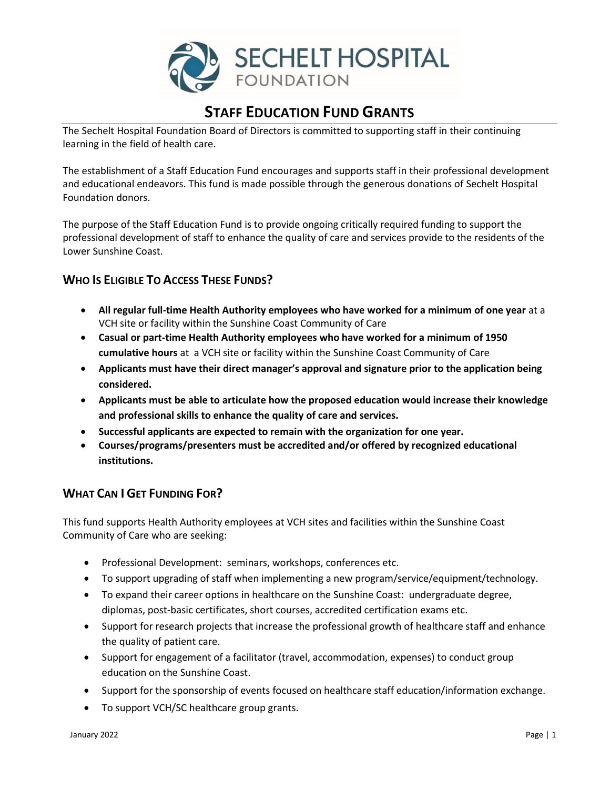

# **STAFF EDUCATION FUND GRANTS**

The Sechelt Hospital Foundation Board of Directors is committed to supporting staff in their continuing learning in the field of health care.

The establishment of a Staff Education Fund encourages and supports staff in their professional development and educational endeavors. This fund is made possible through the generous donations of Sechelt Hospital Foundation donors.

The purpose of the Staff Education Fund is to provide ongoing critically required funding to support the professional development of staff to enhance the quality of care and services provide to the residents of the Lower Sunshine Coast.

## **WHO IS ELIGIBLE TO ACCESS THESE FUNDS?**

- **All regular full-time Health Authority employees who have worked for a minimum of one year** at a VCH site or facility within the Sunshine Coast Community of Care
- **Casual or part-time Health Authority employees who have worked for a minimum of 1950 cumulative hours** at a VCH site or facility within the Sunshine Coast Community of Care
- **Applicants must have their direct manager's approval and signature prior to the application being considered.**
- **Applicants must be able to articulate how the proposed education would increase their knowledge and professional skills to enhance the quality of care and services.**
- **Successful applicants are expected to remain with the organization for one year.**
- **Courses/programs/presenters must be accredited and/or offered by recognized educational institutions.**

### **WHAT CAN I GET FUNDING FOR?**

This fund supports Health Authority employees at VCH sites and facilities within the Sunshine Coast Community of Care who are seeking:

- Professional Development: seminars, workshops, conferences etc.
- To support upgrading of staff when implementing a new program/service/equipment/technology.
- To expand their career options in healthcare on the Sunshine Coast: undergraduate degree, diplomas, post-basic certificates, short courses, accredited certification exams etc.
- Support for research projects that increase the professional growth of healthcare staff and enhance the quality of patient care.
- Support for engagement of a facilitator (travel, accommodation, expenses) to conduct group education on the Sunshine Coast.
- Support for the sponsorship of events focused on healthcare staff education/information exchange.
- To support VCH/SC healthcare group grants.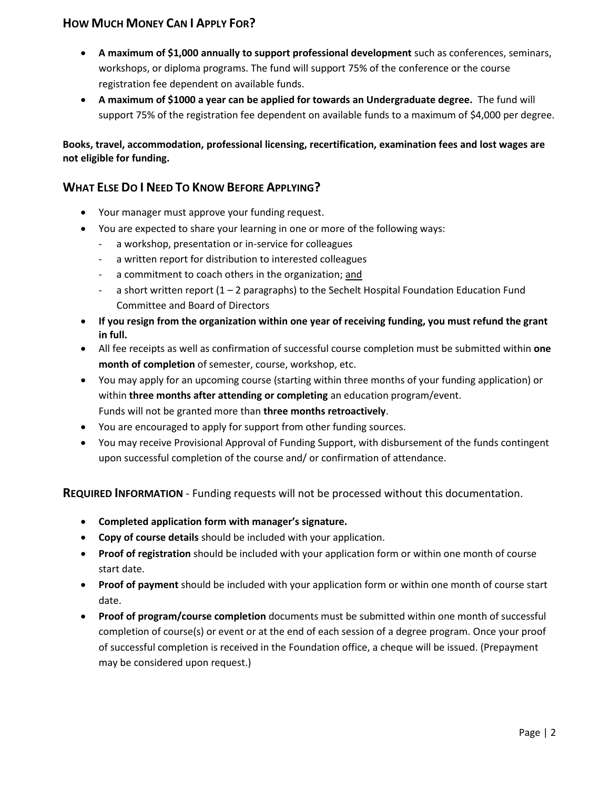## **HOW MUCH MONEY CAN I APPLY FOR?**

- **A maximum of \$1,000 annually to support professional development** such as conferences, seminars, workshops, or diploma programs. The fund will support 75% of the conference or the course registration fee dependent on available funds.
- **A maximum of \$1000 a year can be applied for towards an Undergraduate degree.** The fund will support 75% of the registration fee dependent on available funds to a maximum of \$4,000 per degree.

**Books, travel, accommodation, professional licensing, recertification, examination fees and lost wages are not eligible for funding.** 

## **WHAT ELSE DO I NEED TO KNOW BEFORE APPLYING?**

- Your manager must approve your funding request.
- You are expected to share your learning in one or more of the following ways:
	- a workshop, presentation or in-service for colleagues
	- a written report for distribution to interested colleagues
	- a commitment to coach others in the organization; and
	- a short written report  $(1 2$  paragraphs) to the Sechelt Hospital Foundation Education Fund Committee and Board of Directors
- **If you resign from the organization within one year of receiving funding, you must refund the grant in full.**
- All fee receipts as well as confirmation of successful course completion must be submitted within **one month of completion** of semester, course, workshop, etc.
- You may apply for an upcoming course (starting within three months of your funding application) or within **three months after attending or completing** an education program/event. Funds will not be granted more than **three months retroactively**.
- You are encouraged to apply for support from other funding sources.
- You may receive Provisional Approval of Funding Support, with disbursement of the funds contingent upon successful completion of the course and/ or confirmation of attendance.

**REQUIRED INFORMATION** - Funding requests will not be processed without this documentation.

- **Completed application form with manager's signature.**
- **Copy of course details** should be included with your application.
- **Proof of registration** should be included with your application form or within one month of course start date.
- **Proof of payment** should be included with your application form or within one month of course start date.
- **Proof of program/course completion** documents must be submitted within one month of successful completion of course(s) or event or at the end of each session of a degree program. Once your proof of successful completion is received in the Foundation office, a cheque will be issued. (Prepayment may be considered upon request.)